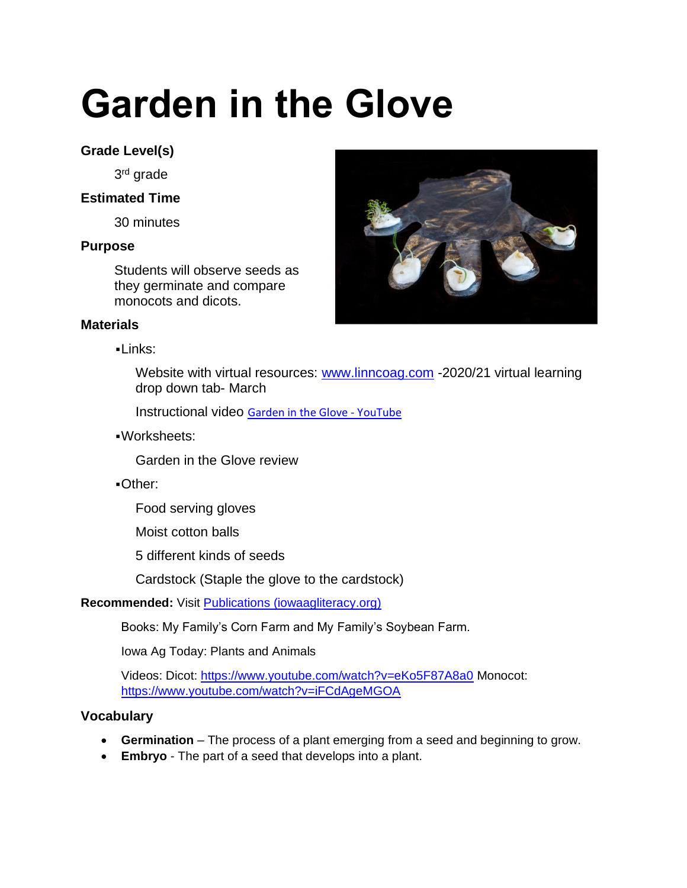# **Garden in the Glove**

# **Grade Level(s)**

3<sup>rd</sup> grade

## **Estimated Time**

30 minutes

## **Purpose**

Students will observe seeds as they germinate and compare monocots and dicots.

### **Materials**

▪Links:

Website with virtual resources: [www.linncoag.com](http://www.linncoag.com/) -2020/21 virtual learning drop down tab- March

Instructional video [Garden in the Glove -](https://www.youtube.com/watch?v=Mj_v-uIYuxw) YouTube

▪Worksheets:

Garden in the Glove review

▪Other:

Food serving gloves

Moist cotton balls

5 different kinds of seeds

Cardstock (Staple the glove to the cardstock)

## **Recommended:** Visit **Publications** (iowaagliteracy.org)

Books: My Family's Corn Farm and My Family's Soybean Farm.

Iowa Ag Today: Plants and Animals

Videos: Dicot:<https://www.youtube.com/watch?v=eKo5F87A8a0> Monocot: <https://www.youtube.com/watch?v=iFCdAgeMGOA>

## **Vocabulary**

- **Germination** The process of a plant emerging from a seed and beginning to grow.
- **Embryo**  The part of a seed that develops into a plant.

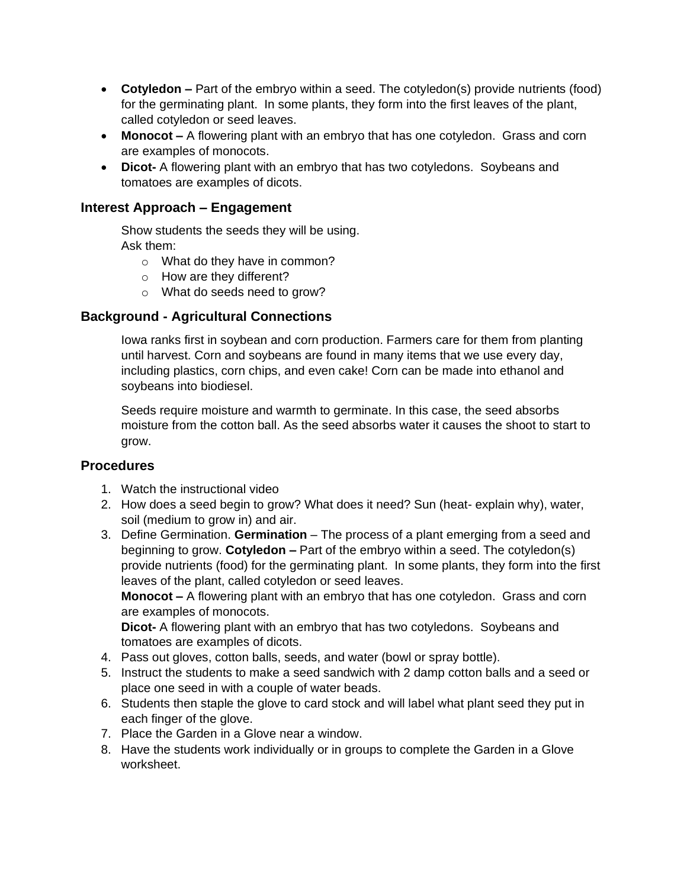- **Cotyledon –** Part of the embryo within a seed. The cotyledon(s) provide nutrients (food) for the germinating plant. In some plants, they form into the first leaves of the plant, called cotyledon or seed leaves.
- **Monocot –** A flowering plant with an embryo that has one cotyledon. Grass and corn are examples of monocots.
- **Dicot-** A flowering plant with an embryo that has two cotyledons. Soybeans and tomatoes are examples of dicots.

#### **Interest Approach – Engagement**

Show students the seeds they will be using. Ask them:

- o What do they have in common?
- o How are they different?
- o What do seeds need to grow?

#### **Background - Agricultural Connections**

Iowa ranks first in soybean and corn production. Farmers care for them from planting until harvest. Corn and soybeans are found in many items that we use every day, including plastics, corn chips, and even cake! Corn can be made into ethanol and soybeans into biodiesel.

Seeds require moisture and warmth to germinate. In this case, the seed absorbs moisture from the cotton ball. As the seed absorbs water it causes the shoot to start to grow.

#### **Procedures**

- 1. Watch the instructional video
- 2. How does a seed begin to grow? What does it need? Sun (heat- explain why), water, soil (medium to grow in) and air.
- 3. Define Germination. **Germination** The process of a plant emerging from a seed and beginning to grow. **Cotyledon –** Part of the embryo within a seed. The cotyledon(s) provide nutrients (food) for the germinating plant. In some plants, they form into the first leaves of the plant, called cotyledon or seed leaves.

**Monocot –** A flowering plant with an embryo that has one cotyledon. Grass and corn are examples of monocots.

**Dicot-** A flowering plant with an embryo that has two cotyledons. Soybeans and tomatoes are examples of dicots.

- 4. Pass out gloves, cotton balls, seeds, and water (bowl or spray bottle).
- 5. Instruct the students to make a seed sandwich with 2 damp cotton balls and a seed or place one seed in with a couple of water beads.
- 6. Students then staple the glove to card stock and will label what plant seed they put in each finger of the glove.
- 7. Place the Garden in a Glove near a window.
- 8. Have the students work individually or in groups to complete the Garden in a Glove worksheet.